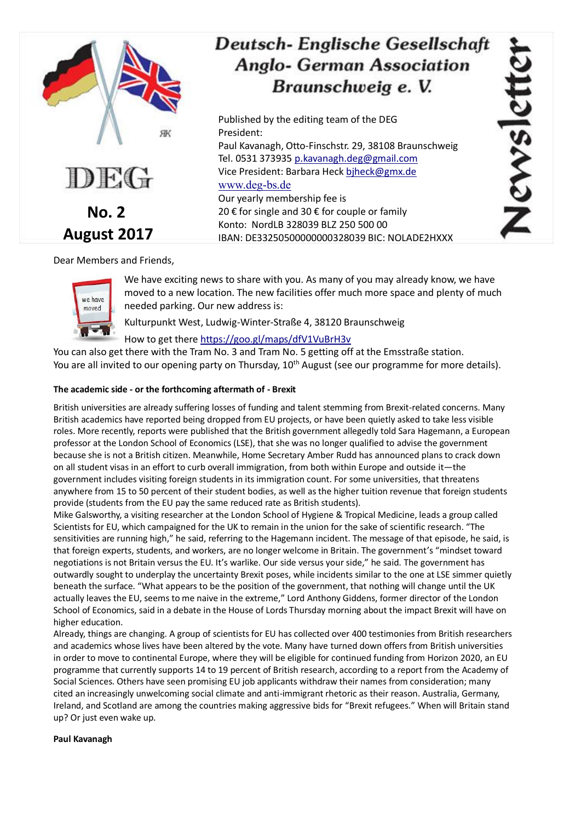

# **Deutsch-Englische Gesellschaft Anglo- German Association** Braunschweig e. V.

Published by the editing team of the DEG President: Paul Kavanagh, Otto-Finschstr. 29, 38108 Braunschweig Tel. 0531 373935 p.kavanagh.deg@gmail.com Vice President: Barbara Heck biheck@gmx.de [www.deg-bs.de](http://www.deg-bs.de/) Our yearly membership fee is 20 € for single and 30 € for couple or family Konto: NordLB 328039 BLZ 250 500 00 IBAN: DE33250500000000328039 BIC: NOLADE2HXXX

Dear Members and Friends,



We have exciting news to share with you. As many of you may already know, we have moved to a new location. The new facilities offer much more space and plenty of much needed parking. Our new address is:

Kulturpunkt West, Ludwig-Winter-Straße 4, 38120 Braunschweig

## How to get ther[e https://goo.gl/maps/dfV1VuBrH3v](https://goo.gl/maps/dfV1VuBrH3v)

You can also get there with the Tram No. 3 and Tram No. 5 getting off at the Emsstraße station. You are all invited to our opening party on Thursday, 10<sup>th</sup> August (see our programme for more details).

## **The academic side - or the forthcoming aftermath of - Brexit**

British universities are already suffering losses of funding and talent stemming from Brexit-related concerns. Many British academics have reported being dropped from EU projects, or have been quietly asked to take less visible roles. More recently, reports were published that the British government allegedly told Sara Hagemann, a European professor at the London School of Economics (LSE), that she was no longer qualified to advise the government because she is not a British citizen. Meanwhile, Home Secretary Amber Rudd has announced plans to crack down on all student visas in an effort to curb overall immigration, from both within Europe and outside it—the government includes visiting foreign students in its immigration count. For some universities, that threatens anywhere from 15 to 50 percent of their student bodies, as well as the higher tuition revenue that foreign students provide (students from the EU pay the same reduced rate as British students).

Mike Galsworthy, a visiting researcher at the London School of Hygiene & Tropical Medicine, leads a group called Scientists for EU, which campaigned for the UK to remain in the union for the sake of scientific research. "The sensitivities are running high," he said, referring to the Hagemann incident. The message of that episode, he said, is that foreign experts, students, and workers, are no longer welcome in Britain. The government's "mindset toward negotiations is not Britain versus the EU. It's warlike. Our side versus your side," he said. The government has outwardly sought to underplay the uncertainty Brexit poses, while incidents similar to the one at LSE simmer quietly beneath the surface. "What appears to be the position of the government, that nothing will change until the UK actually leaves the EU, seems to me naive in the extreme," Lord Anthony Giddens, former director of the London School of Economics, said in a debate in the House of Lords Thursday morning about the impact Brexit will have on higher education.

Already, things are changing. A group of scientists for EU has collected over 400 testimonies from British researchers and academics whose lives have been altered by the vote. Many have turned down offers from British universities in order to move to continental Europe, where they will be eligible for continued funding from Horizon 2020, an EU programme that currently supports 14 to 19 percent of British research, according to a report from the Academy of Social Sciences. Others have seen promising EU job applicants withdraw their names from consideration; many cited an increasingly unwelcoming social climate and anti-immigrant rhetoric as their reason. Australia, Germany, Ireland, and Scotland are among the countries making aggressive bids for "Brexit refugees." When will Britain stand up? Or just even wake up.

## **Paul Kavanagh**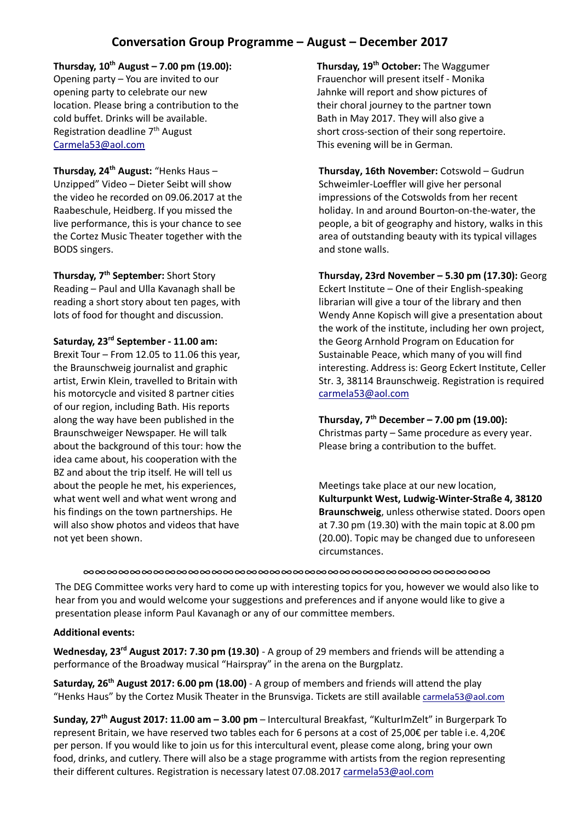# **Conversation Group Programme – August – December 2017**

**Thursday, 10th August – 7.00 pm (19.00):** Opening party – You are invited to our opening party to celebrate our new location. Please bring a contribution to the cold buffet. Drinks will be available. Registration deadline  $7<sup>th</sup>$  August [Carmela53@aol.com](mailto:Carmela53@aol.com)

**Thursday, 24th August:** "Henks Haus – Unzipped" Video – Dieter Seibt will show the video he recorded on 09.06.2017 at the Raabeschule, Heidberg. If you missed the live performance, this is your chance to see the Cortez Music Theater together with the BODS singers.

**Thursday, 7th September:** Short Story Reading – Paul and Ulla Kavanagh shall be reading a short story about ten pages, with lots of food for thought and discussion.

**Saturday, 23rd September - 11.00 am:** Brexit Tour – From 12.05 to 11.06 this year, the Braunschweig journalist and graphic artist, Erwin Klein, travelled to Britain with his motorcycle and visited 8 partner cities of our region, including Bath. His reports along the way have been published in the Braunschweiger Newspaper. He will talk about the background of this tour: how the idea came about, his cooperation with the BZ and about the trip itself. He will tell us about the people he met, his experiences, what went well and what went wrong and his findings on the town partnerships. He will also show photos and videos that have not yet been shown.

**Thursday, 19th October:** The Waggumer Frauenchor will present itself - Monika Jahnke will report and show pictures of their choral journey to the partner town Bath in May 2017. They will also give a short cross-section of their song repertoire. This evening will be in German.

**Thursday, 16th November:** Cotswold – Gudrun Schweimler-Loeffler will give her personal impressions of the Cotswolds from her recent holiday. In and around Bourton-on-the-water, the people, a bit of geography and history, walks in this area of outstanding beauty with its typical villages and stone walls.

**Thursday, 23rd November – 5.30 pm (17.30):** Georg Eckert Institute – One of their English-speaking librarian will give a tour of the library and then Wendy Anne Kopisch will give a presentation about the work of the institute, including her own project, the Georg Arnhold Program on Education for Sustainable Peace, which many of you will find interesting. Address is: Georg Eckert Institute, Celler Str. 3, 38114 Braunschweig. Registration is required [carmela53@aol.com](mailto:carmela53@aol.com)

**Thursday, 7th December – 7.00 pm (19.00):** Christmas party – Same procedure as every year. Please bring a contribution to the buffet.

Meetings take place at our new location, **Kulturpunkt West, Ludwig-Winter-Straße 4, 38120 Braunschweig**, unless otherwise stated. Doors open at 7.30 pm (19.30) with the main topic at 8.00 pm (20.00). Topic may be changed due to unforeseen circumstances.

∞∞∞∞∞∞∞∞∞∞∞∞∞∞∞∞∞∞∞∞∞∞∞∞∞∞∞∞∞∞∞∞∞∞∞

The DEG Committee works very hard to come up with interesting topics for you, however we would also like to hear from you and would welcome your suggestions and preferences and if anyone would like to give a presentation please inform Paul Kavanagh or any of our committee members.

#### **Additional events:**

**Wednesday, 23rd August 2017: 7.30 pm (19.30)** - A group of 29 members and friends will be attending a performance of the Broadway musical "Hairspray" in the arena on the Burgplatz.

**Saturday, 26th August 2017: 6.00 pm (18.00)** - A group of members and friends will attend the play "Henks Haus" by the Cortez Musik Theater in the Brunsviga. Tickets are still available [carmela53@aol.com](mailto:carmela53@aol.com)

**Sunday, 27th August 2017: 11.00 am – 3.00 pm** – Intercultural Breakfast, "KulturImZelt" in Burgerpark To represent Britain, we have reserved two tables each for 6 persons at a cost of 25,00€ per table i.e. 4,20€ per person. If you would like to join us for this intercultural event, please come along, bring your own food, drinks, and cutlery. There will also be a stage programme with artists from the region representing their different cultures. Registration is necessary latest 07.08.2017 [carmela53@aol.com](mailto:carmela53@aol.com)